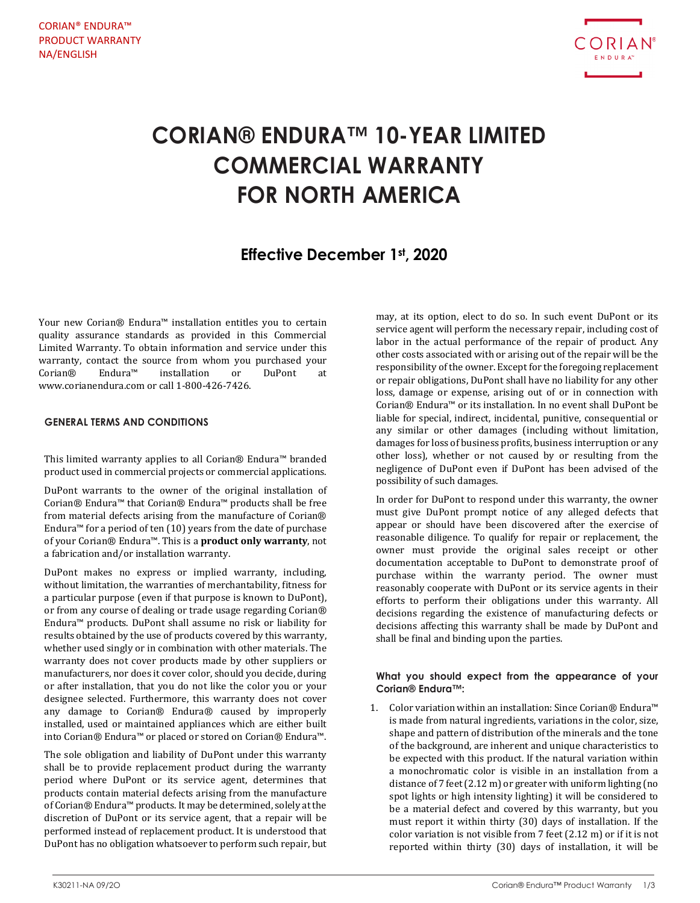

# **CORIAN® ENDURA™ 10-YEAR LIMITED COMMERCIAL WARRANTY FOR NORTH AMERICA**

# **Effective December 1st, 2020**

Your new Corian® Endura™ installation entitles you to certain quality assurance standards as provided in this Commercial Limited Warranty. To obtain information and service under this warranty, contact the source from whom you purchased your Corian<br>® Endura<sup>™</sup> installation or DuPont at Corian® Endura™ installation or DuPont at www.corianendura.com or call 1-800-426-7426.

## **GENERAL TERMS AND CONDITIONS**

This limited warranty applies to all Corian® Endura™ branded product used in commercial projects or commercial applications.

DuPont warrants to the owner of the original installation of Corian® Endura™ that Corian® Endura™ products shall be free from material defects arising from the manufacture of Corian® Endura™ for a period of ten (10) years from the date of purchase of your Corian® Endura™. This is a **product only warranty**, not a fabrication and/or installation warranty.

DuPont makes no express or implied warranty, including, without limitation, the warranties of merchantability, fitness for a particular purpose (even if that purpose is known to DuPont), or from any course of dealing or trade usage regarding Corian® Endura™ products. DuPont shall assume no risk or liability for results obtained by the use of products covered by this warranty, whether used singly or in combination with other materials. The warranty does not cover products made by other suppliers or manufacturers, nor does it cover color, should you decide, during or after installation, that you do not like the color you or your designee selected. Furthermore, this warranty does not cover any damage to Corian® Endura® caused by improperly installed, used or maintained appliances which are either built into Corian® Endura™ or placed or stored on Corian® Endura™.

The sole obligation and liability of DuPont under this warranty shall be to provide replacement product during the warranty period where DuPont or its service agent, determines that products contain material defects arising from the manufacture of Corian® Endura™ products. It may be determined, solely at the discretion of DuPont or its service agent, that a repair will be performed instead of replacement product. It is understood that DuPont has no obligation whatsoever to perform such repair, but

may, at its option, elect to do so. In such event DuPont or its service agent will perform the necessary repair, including cost of labor in the actual performance of the repair of product. Any other costs associated with or arising out of the repair will be the responsibility of the owner. Except for the foregoing replacement or repair obligations, DuPont shall have no liability for any other loss, damage or expense, arising out of or in connection with Corian® Endura™ or its installation. In no event shall DuPont be liable for special, indirect, incidental, punitive, consequential or any similar or other damages (including without limitation, damages for loss of business profits, business interruption or any other loss), whether or not caused by or resulting from the negligence of DuPont even if DuPont has been advised of the possibility of such damages.

In order for DuPont to respond under this warranty, the owner must give DuPont prompt notice of any alleged defects that appear or should have been discovered after the exercise of reasonable diligence. To qualify for repair or replacement, the owner must provide the original sales receipt or other documentation acceptable to DuPont to demonstrate proof of purchase within the warranty period. The owner must reasonably cooperate with DuPont or its service agents in their efforts to perform their obligations under this warranty. All decisions regarding the existence of manufacturing defects or decisions affecting this warranty shall be made by DuPont and shall be final and binding upon the parties.

### **What you should expect from the appearance of your Corian® Endura™:**

1. Color variation within an installation: Since Corian® Endura™ is made from natural ingredients, variations in the color, size, shape and pattern of distribution of the minerals and the tone of the background, are inherent and unique characteristics to be expected with this product. If the natural variation within a monochromatic color is visible in an installation from a distance of 7 feet (2.12 m) or greater with uniform lighting (no spot lights or high intensity lighting) it will be considered to be a material defect and covered by this warranty, but you must report it within thirty (30) days of installation. If the color variation is not visible from 7 feet (2.12 m) or if it is not reported within thirty (30) days of installation, it will be